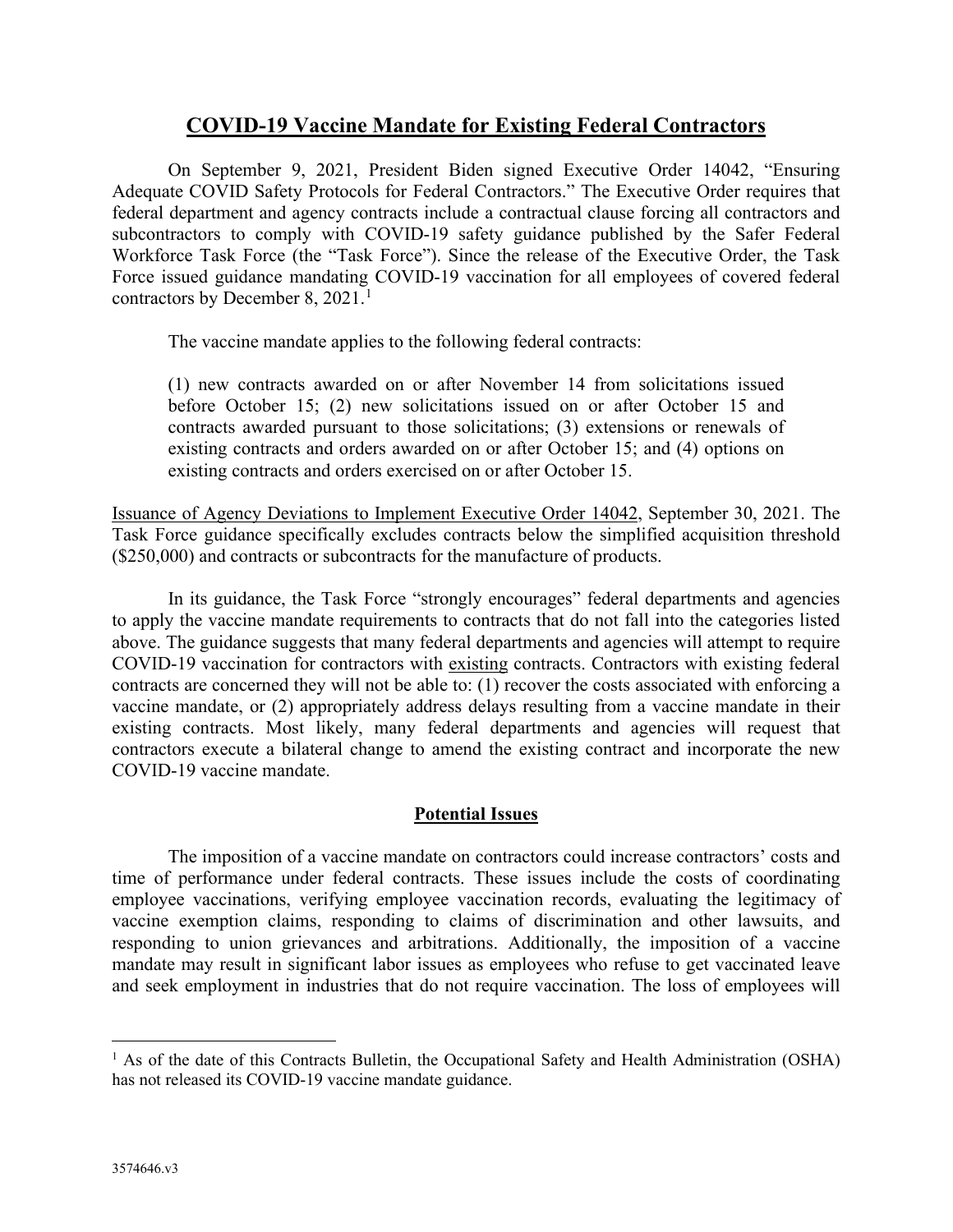# **COVID-19 Vaccine Mandate for Existing Federal Contractors**

On September 9, 2021, President Biden signed Executive Order 14042, "Ensuring Adequate COVID Safety Protocols for Federal Contractors." The Executive Order requires that federal department and agency contracts include a contractual clause forcing all contractors and subcontractors to comply with COVID-19 safety guidance published by the Safer Federal Workforce Task Force (the "Task Force"). Since the release of the Executive Order, the Task Force issued guidance mandating COVID-19 vaccination for all employees of covered federal contractors by December 8, 202[1](#page-0-0).<sup>1</sup>

The vaccine mandate applies to the following federal contracts:

(1) new contracts awarded on or after November 14 from solicitations issued before October 15; (2) new solicitations issued on or after October 15 and contracts awarded pursuant to those solicitations; (3) extensions or renewals of existing contracts and orders awarded on or after October 15; and (4) options on existing contracts and orders exercised on or after October 15.

Issuance of Agency Deviations to Implement Executive Order 14042, September 30, 2021. The Task Force guidance specifically excludes contracts below the simplified acquisition threshold (\$250,000) and contracts or subcontracts for the manufacture of products.

In its guidance, the Task Force "strongly encourages" federal departments and agencies to apply the vaccine mandate requirements to contracts that do not fall into the categories listed above. The guidance suggests that many federal departments and agencies will attempt to require COVID-19 vaccination for contractors with existing contracts. Contractors with existing federal contracts are concerned they will not be able to: (1) recover the costs associated with enforcing a vaccine mandate, or (2) appropriately address delays resulting from a vaccine mandate in their existing contracts. Most likely, many federal departments and agencies will request that contractors execute a bilateral change to amend the existing contract and incorporate the new COVID-19 vaccine mandate.

### **Potential Issues**

The imposition of a vaccine mandate on contractors could increase contractors' costs and time of performance under federal contracts. These issues include the costs of coordinating employee vaccinations, verifying employee vaccination records, evaluating the legitimacy of vaccine exemption claims, responding to claims of discrimination and other lawsuits, and responding to union grievances and arbitrations. Additionally, the imposition of a vaccine mandate may result in significant labor issues as employees who refuse to get vaccinated leave and seek employment in industries that do not require vaccination. The loss of employees will

<span id="page-0-0"></span><sup>&</sup>lt;sup>1</sup> As of the date of this Contracts Bulletin, the Occupational Safety and Health Administration (OSHA) has not released its COVID-19 vaccine mandate guidance.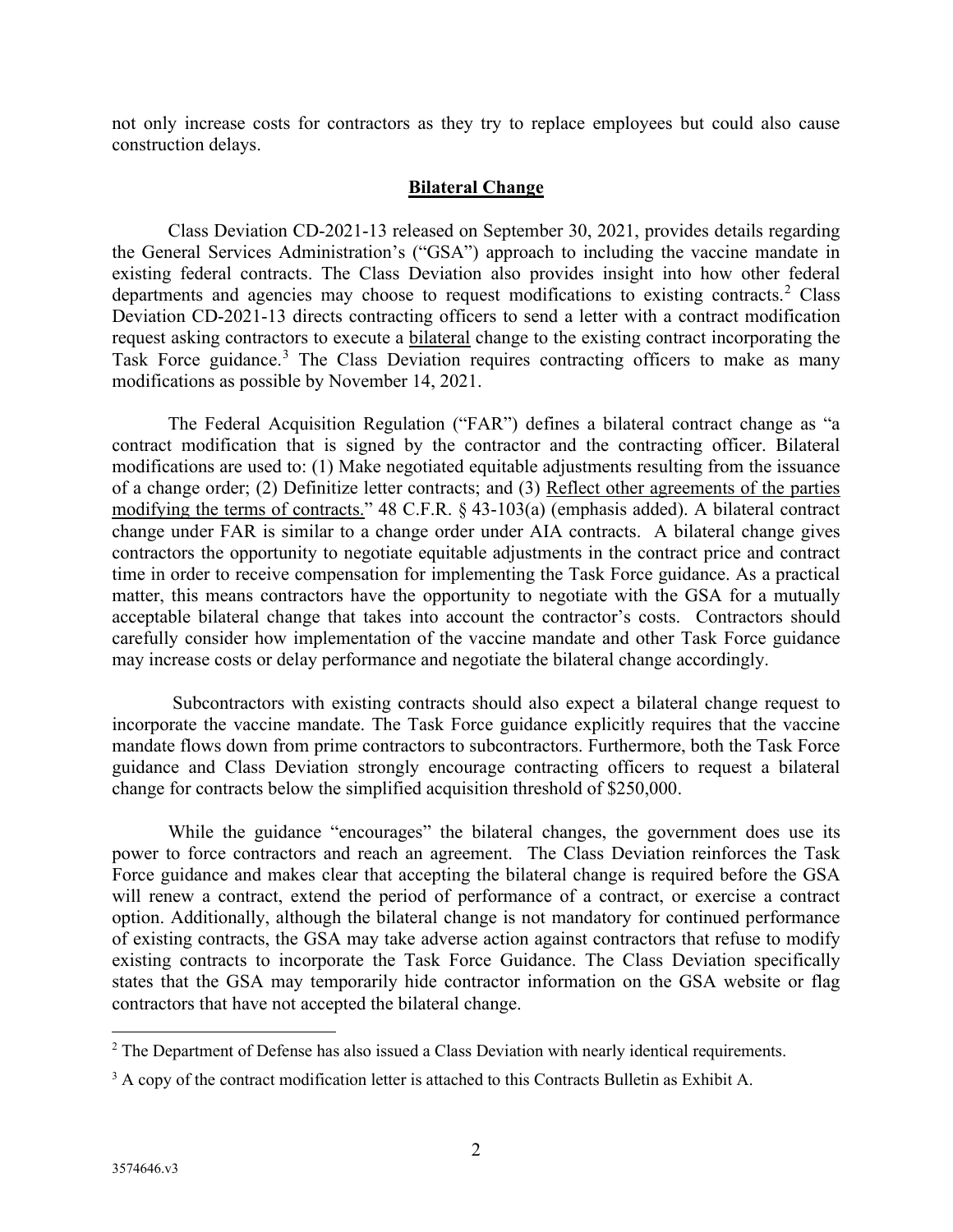not only increase costs for contractors as they try to replace employees but could also cause construction delays.

#### **Bilateral Change**

Class Deviation CD-2021-13 released on September 30, 2021, provides details regarding the General Services Administration's ("GSA") approach to including the vaccine mandate in existing federal contracts. The Class Deviation also provides insight into how other federal departments and agencies may choose to request modifications to existing contracts.<sup>[2](#page-1-0)</sup> Class Deviation CD-2021-13 directs contracting officers to send a letter with a contract modification request asking contractors to execute a bilateral change to the existing contract incorporating the Task Force guidance.<sup>[3](#page-1-1)</sup> The Class Deviation requires contracting officers to make as many modifications as possible by November 14, 2021.

The Federal Acquisition Regulation ("FAR") defines a bilateral contract change as "a contract modification that is signed by the contractor and the contracting officer. Bilateral modifications are used to: (1) Make negotiated equitable adjustments resulting from the issuance of a change order; (2) Definitize letter contracts; and (3) Reflect other agreements of the parties modifying the terms of contracts." 48 C.F.R. § 43-103(a) (emphasis added). A bilateral contract change under FAR is similar to a change order under AIA contracts. A bilateral change gives contractors the opportunity to negotiate equitable adjustments in the contract price and contract time in order to receive compensation for implementing the Task Force guidance. As a practical matter, this means contractors have the opportunity to negotiate with the GSA for a mutually acceptable bilateral change that takes into account the contractor's costs. Contractors should carefully consider how implementation of the vaccine mandate and other Task Force guidance may increase costs or delay performance and negotiate the bilateral change accordingly.

Subcontractors with existing contracts should also expect a bilateral change request to incorporate the vaccine mandate. The Task Force guidance explicitly requires that the vaccine mandate flows down from prime contractors to subcontractors. Furthermore, both the Task Force guidance and Class Deviation strongly encourage contracting officers to request a bilateral change for contracts below the simplified acquisition threshold of \$250,000.

While the guidance "encourages" the bilateral changes, the government does use its power to force contractors and reach an agreement. The Class Deviation reinforces the Task Force guidance and makes clear that accepting the bilateral change is required before the GSA will renew a contract, extend the period of performance of a contract, or exercise a contract option. Additionally, although the bilateral change is not mandatory for continued performance of existing contracts, the GSA may take adverse action against contractors that refuse to modify existing contracts to incorporate the Task Force Guidance. The Class Deviation specifically states that the GSA may temporarily hide contractor information on the GSA website or flag contractors that have not accepted the bilateral change.

<span id="page-1-0"></span><sup>&</sup>lt;sup>2</sup> The Department of Defense has also issued a Class Deviation with nearly identical requirements.

<span id="page-1-1"></span><sup>&</sup>lt;sup>3</sup> A copy of the contract modification letter is attached to this Contracts Bulletin as Exhibit A.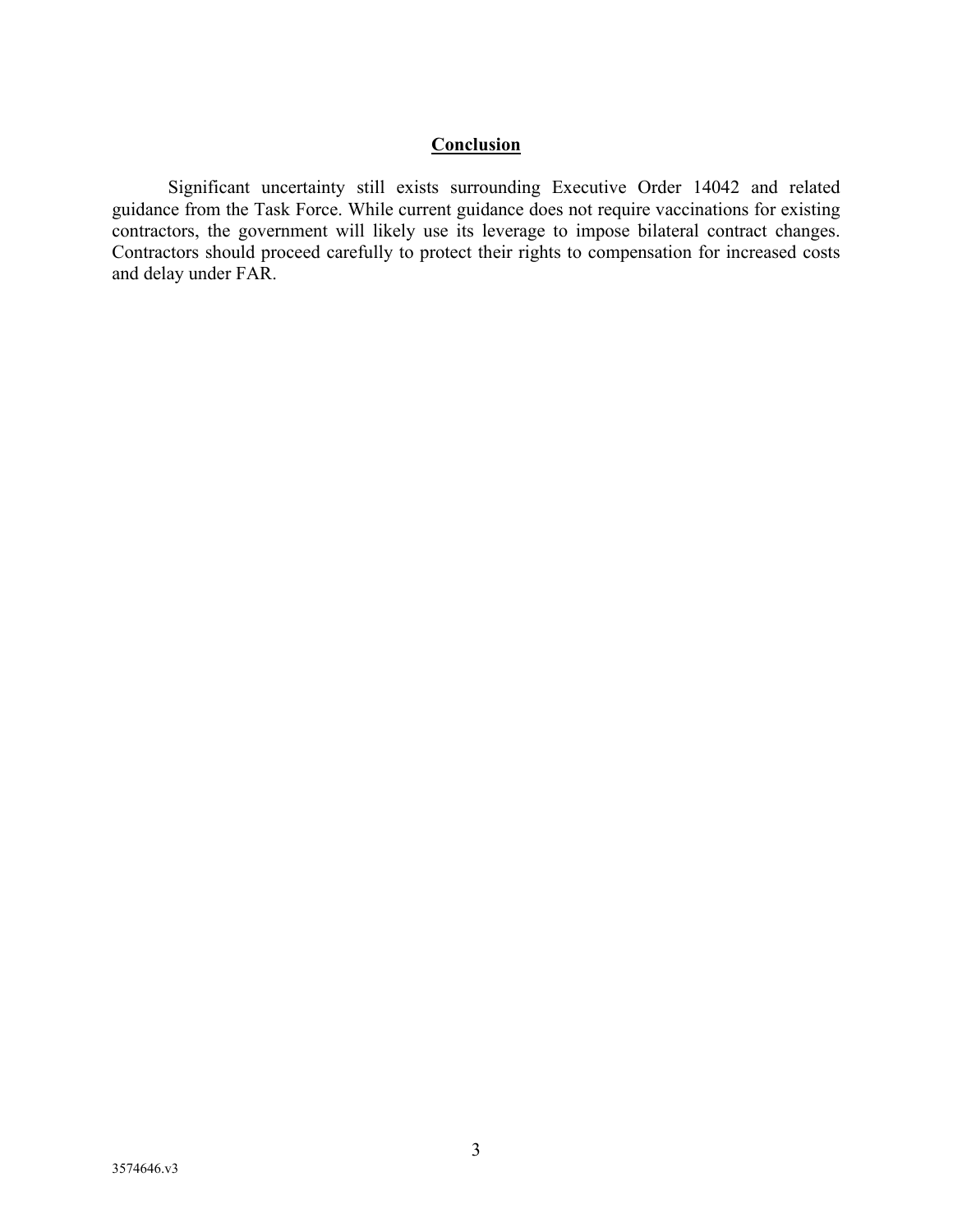# **Conclusion**

Significant uncertainty still exists surrounding Executive Order 14042 and related guidance from the Task Force. While current guidance does not require vaccinations for existing contractors, the government will likely use its leverage to impose bilateral contract changes. Contractors should proceed carefully to protect their rights to compensation for increased costs and delay under FAR.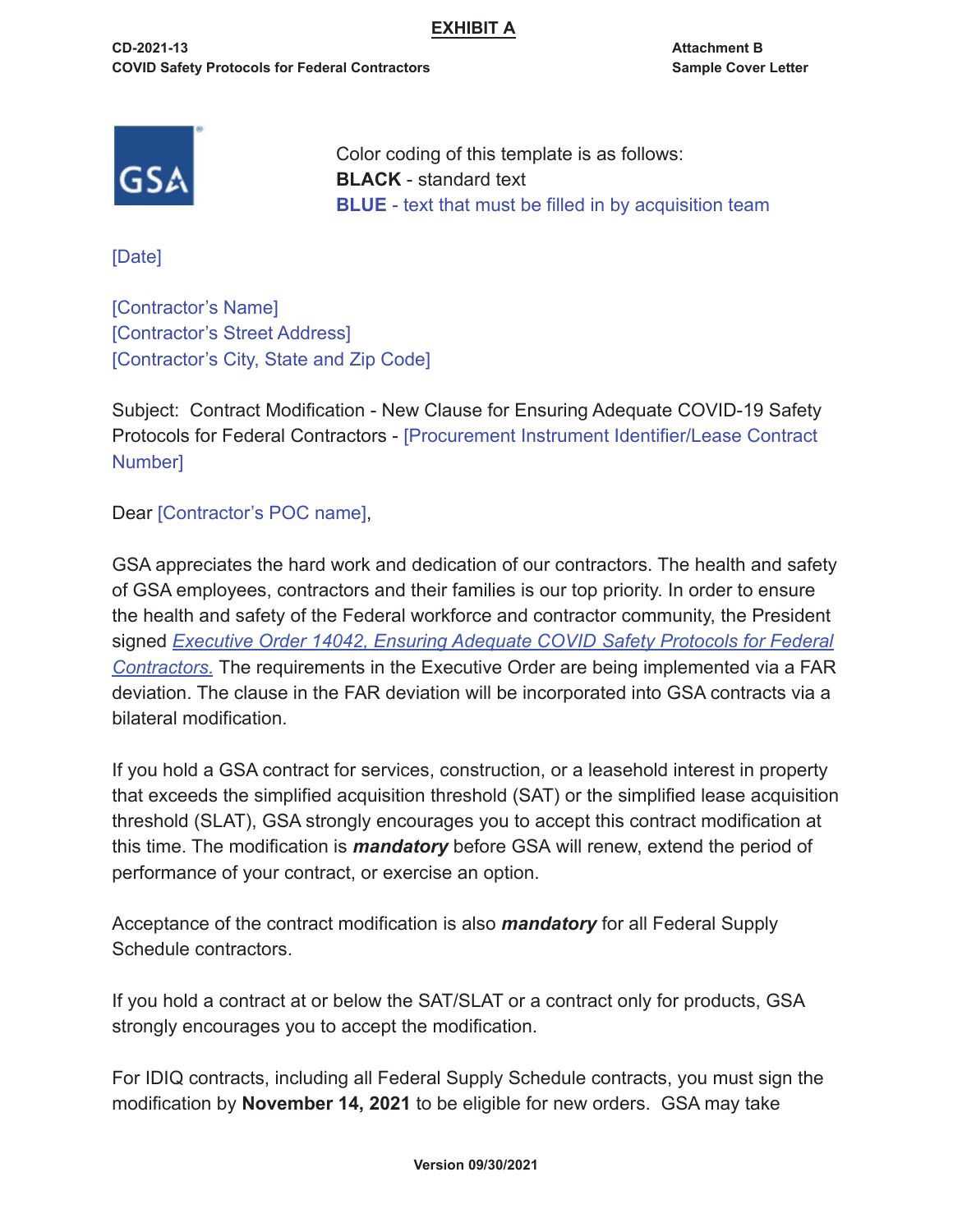## **EXHIBIT A**

**CD-2021-13 Attachment B COVID Safety Protocols for Federal Contractors Sample Cover Letter** 



Color coding of this template is as follows: **BLACK** - standard text **BLUE** - text that must be filled in by acquisition team

[Date]

[Contractor's Name] [Contractor's Street Address] [Contractor's City, State and Zip Code]

Subject: Contract Modification - New Clause for Ensuring Adequate COVID-19 Safety Protocols for Federal Contractors - [Procurement Instrument Identifier/Lease Contract Number]

Dear [Contractor's POC name],

GSA appreciates the hard work and dedication of our contractors. The health and safety of GSA employees, contractors and their families is our top priority. In order to ensure the health and safety of the Federal workforce and contractor community, the President signed *Executive Order 14042, Ensuring Adequate COVID Safety Protocols for Federal Contractors.* The requirements in the Executive Order are being implemented via a FAR deviation. The clause in the FAR deviation will be incorporated into GSA contracts via a bilateral modification.

If you hold a GSA contract for services, construction, or a leasehold interest in property that exceeds the simplified acquisition threshold (SAT) or the simplified lease acquisition threshold (SLAT), GSA strongly encourages you to accept this contract modification at this time. The modification is *mandatory* before GSA will renew, extend the period of performance of your contract, or exercise an option.

Acceptance of the contract modification is also *mandatory* for all Federal Supply Schedule contractors.

If you hold a contract at or below the SAT/SLAT or a contract only for products, GSA strongly encourages you to accept the modification.

For IDIQ contracts, including all Federal Supply Schedule contracts, you must sign the modification by **November 14, 2021** to be eligible for new orders. GSA may take